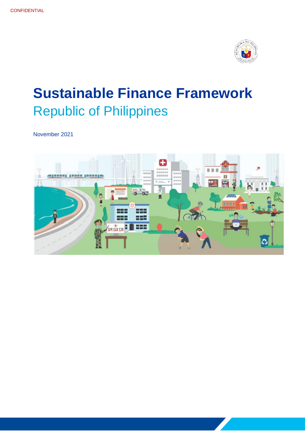

November 2021

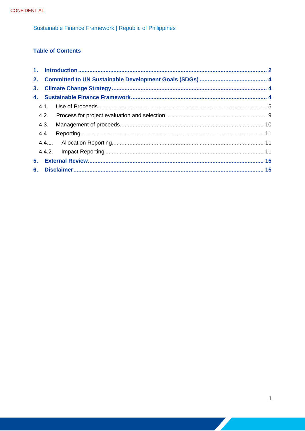## **Table of Contents**

|    | 4.3. |  |
|----|------|--|
|    |      |  |
|    |      |  |
|    |      |  |
| 5. |      |  |
|    |      |  |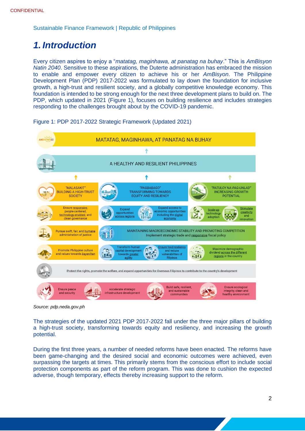# <span id="page-2-0"></span>*1. Introduction*

Every citizen aspires to enjoy a "*matatag, maginhawa, at panatag na buhay*." This is *AmBisyon Natin 2040*. Sensitive to these aspirations, the Duterte administration has embraced the mission to enable and empower every citizen to achieve his or her *AmBisyon*. The Philippine Development Plan (PDP) 2017-2022 was formulated to lay down the foundation for inclusive growth, a high-trust and resilient society, and a globally competitive knowledge economy. This foundation is intended to be strong enough for the next three development plans to build on. The PDP, which updated in 2021 (Figure 1), focuses on building resilience and includes strategies responding to the challenges brought about by the COVID-19 pandemic.



Figure 1: PDP 2017-2022 Strategic Framework (Updated 2021)

*Source: pdp.neda.gov.ph*

The strategies of the updated 2021 PDP 2017-2022 fall under the three major pillars of building a high-trust society, transforming towards equity and resiliency, and increasing the growth potential.

During the first three years, a number of needed reforms have been enacted. The reforms have been game-changing and the desired social and economic outcomes were achieved, even surpassing the targets at times. This primarily stems from the conscious effort to include social protection components as part of the reform program. This was done to cushion the expected adverse, though temporary, effects thereby increasing support to the reform.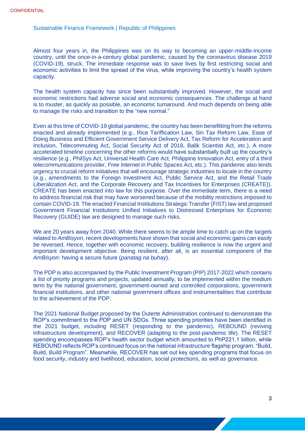Almost four years in, the Philippines was on its way to becoming an upper-middle-income country, until the once-in-a-century global pandemic, caused by the coronavirus disease 2019 (COVID-19), struck. The immediate response was to save lives by first restricting social and economic activities to limit the spread of the virus, while improving the country's health system capacity.

The health system capacity has since been substantially improved. However, the social and economic restrictions had adverse social and economic consequences. The challenge at hand is to muster, as quickly as possible, an economic turnaround. And much depends on being able to manage the risks and transition to the "new normal."

Even at this time of COVID-19 global pandemic, the country has been benefitting from the reforms enacted and already implemented (e.g., Rice Tariffication Law, Sin Tax Reform Law, Ease of Doing Business and Efficient Government Service Delivery Act, Tax Reform for Acceleration and Inclusion, Telecommuting Act, Social Security Act of 2018, Balik Scientist Act, etc.). A more accelerated timeline concerning the other reforms would have substantially built up the country's resilience (e.g., PhilSys Act, Universal Health Care Act, Philippine Innovation Act, entry of a third telecommunications provider, Free Internet in Public Spaces Act, etc.). This pandemic also lends urgency to crucial reform initiatives that will encourage strategic industries to locate in the country (e.g., amendments to the Foreign Investment Act, Public Service Act, and the Retail Trade Liberalization Act, and the Corporate Recovery and Tax Incentives for Enterprises (CREATE)). CREATE has been enacted into law for this purpose. Over the immediate term, there is a need to address financial risk that may have worsened because of the mobility restrictions imposed to contain COVID-19. The enacted Financial Institutions Strategic Transfer (FIST) law and proposed Government Financial Institutions Unified Initiatives to Distressed Enterprises for Economic Recovery (GUIDE) law are designed to manage such risks.

We are 20 years away from 2040. While there seems to be ample time to catch up on the targets related to *AmBisyon*, recent developments have shown that social and economic gains can easily be reversed. Hence, together with economic recovery, building resilience is now the urgent and important development objective. Being resilient, after all, is an essential component of the *AmBisyon*: having a secure future (*panatag na buhay*).

The PDP is also accompanied by the Public Investment Program (PIP) 2017-2022 which contains a list of priority programs and projects, updated annually, to be implemented within the medium term by the national government, government-owned and controlled corporations, government financial institutions, and other national government offices and instrumentalities that contribute to the achievement of the PDP.

The 2021 National Budget proposed by the Duterte Administration continued to demonstrate the ROP's commitment to the PDP and UN SDGs. Three spending priorities have been identified in the 2021 budget, including RESET (responding to the pandemic), REBOUND (reviving infrastructure development), and RECOVER (adapting to the post-pandemic life). The RESET spending encompasses ROP's health sector budget which amounted to PhP221.1 billion, while REBOUND reflects ROP's continued focus on the national infrastructure flagship program, "Build, Build, Build Program". Meanwhile, RECOVER has set out key spending programs that focus on food security, industry and livelihood, education, social protections, as well as governance.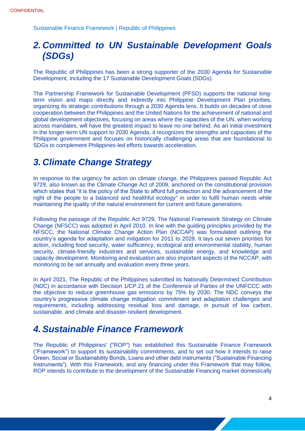# <span id="page-4-0"></span>*2. Committed to UN Sustainable Development Goals (SDGs)*

The Republic of Philippines has been a strong supporter of the 2030 Agenda for Sustainable Development, including the 17 Sustainable Development Goals (SDGs).

The Partnership Framework for Sustainable Development (PFSD) supports the national longterm vision and maps directly and indirectly into Philippine Development Plan priorities, organizing its strategic contributions through a 2030 Agenda lens. It builds on decades of close cooperation between the Philippines and the United Nations for the achievement of national and global development objectives, focusing on areas where the capacities of the UN, when working across mandates, will have the greatest impact to leave no one behind. As an initial investment in the longer-term UN support to 2030 Agenda, it recognizes the strengths and capacities of the Philippine government and focuses on historically challenging areas that are foundational to SDGs to complement Philippines-led efforts towards acceleration.

# <span id="page-4-1"></span>*3. Climate Change Strategy*

In response to the urgency for action on climate change, the Philippines passed Republic Act 9729, also known as the Climate Change Act of 2009, anchored on the constitutional provision which states that "it is the policy of the State to afford full protection and the advancement of the right of the people to a balanced and healthful ecology" in order to fulfil human needs while maintaining the quality of the natural environment for current and future generations.

Following the passage of the Republic Act 9729, The National Framework Strategy on Climate Change (NFSCC) was adopted in April 2010. In line with the guiding principles provided by the NFSCC, the National Climate Change Action Plan (NCCAP) was formulated outlining the country's agenda for adaptation and mitigation for 2011 to 2028. It lays out seven priorities for action, including food security, water sufficiency, ecological and environmental stability, human security, climate-friendly industries and services, sustainable energy, and knowledge and capacity development. Monitoring and evaluation are also important aspects of the NCCAP, with monitoring to be set annually and evaluation every three years.

In April 2021, The Republic of the Philippines submitted its Nationally Determined Contribution (NDC) in accordance with Decision 1/CP.21 of the Conference of Parties of the UNFCCC with the objective to reduce greenhouse gas emissions by 75% by 2030. The NDC conveys the country's progressive climate change mitigation commitment and adaptation challenges and requirements, including addressing residual loss and damage, in pursuit of low carbon, sustainable, and climate and disaster-resilient development.

# <span id="page-4-2"></span>*4. Sustainable Finance Framework*

The Republic of Philippines' ("ROP") has established this Sustainable Finance Framework ("Framework") to support its sustainability commitments, and to set out how it intends to raise Green, Social or Sustainability Bonds, Loans and other debt instruments ("Sustainable Financing Instruments"). With this Framework, and any financing under this Framework that may follow, ROP intends to contribute to the development of the Sustainable Financing market domestically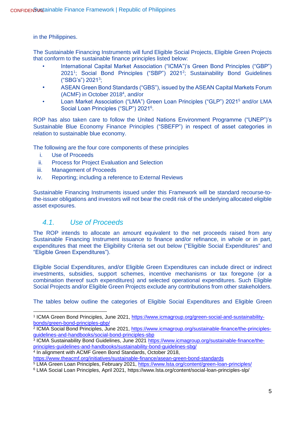in the Philippines.

The Sustainable Financing Instruments will fund Eligible Social Projects, Eligible Green Projects that conform to the sustainable finance principles listed below:

- International Capital Market Association ("ICMA")'s Green Bond Principles ("GBP") 2021<sup>1</sup> ; Social Bond Principles ("SBP") 2021<sup>2</sup> ; Sustainability Bond Guidelines ("SBG's") 2021<sup>3</sup>;
- ASEAN Green Bond Standards ("GBS"), issued by the ASEAN Capital Markets Forum  $(ACMF)$  in October 2018<sup>4</sup>, and/or
- Loan Market Association ("LMA") Green Loan Principles ("GLP") 2021<sup>5</sup> and/or LMA Social Loan Principles ("SLP") 2021<sup>6</sup>.

ROP has also taken care to follow the United Nations Environment Programme ("UNEP")'s Sustainable Blue Economy Finance Principles ("SBEFP") in respect of asset categories in relation to sustainable blue economy.

The following are the four core components of these principles

- i. Use of Proceeds
- ii. Process for Project Evaluation and Selection
- iii. Management of Proceeds
- iv. Reporting; including a reference to External Reviews

Sustainable Financing Instruments issued under this Framework will be standard recourse-tothe-issuer obligations and investors will not bear the credit risk of the underlying allocated eligible asset exposures.

## <span id="page-5-0"></span>*4.1. Use of Proceeds*

The ROP intends to allocate an amount equivalent to the net proceeds raised from any Sustainable Financing Instrument issuance to finance and/or refinance, in whole or in part, expenditures that meet the Eligibility Criteria set out below ("Eligible Social Expenditures" and "Eligible Green Expenditures").

Eligible Social Expenditures, and/or Eligible Green Expenditures can include direct or indirect investments, subsidies, support schemes, incentive mechanisms or tax foregone (or a combination thereof such expenditures) and selected operational expenditures. Such Eligible Social Projects and/or Eligible Green Projects exclude any contributions from other stakeholders.

The tables below outline the categories of Eligible Social Expenditures and Eligible Green

4 In alignment with ACMF Green Bond Standards, October 2018,

<sup>&</sup>lt;sup>1</sup> ICMA Green Bond Principles, June 2021, [https://www.icmagroup.org/green-social-and-sustainability](https://www.icmagroup.org/green-social-and-sustainability-bonds/green-bond-principles-gbp/)[bonds/green-bond-principles-gbp/](https://www.icmagroup.org/green-social-and-sustainability-bonds/green-bond-principles-gbp/)

<sup>&</sup>lt;sup>2</sup> ICMA Social Bond Principles, June 2021, <u>https://www.icmagroup.org/sustainable-finance/the-principles-</u> [guidelines-and-handbooks/social-bond-principles-sbp](https://www.icmagroup.org/sustainable-finance/the-principles-guidelines-and-handbooks/social-bond-principles-sbp)

<sup>&</sup>lt;sup>3</sup> ICMA Sustainability Bond Guidelines, June 2021 [https://www.icmagroup.org/sustainable-finance/the](https://www.icmagroup.org/sustainable-finance/the-principles-guidelines-and-handbooks/sustainability-bond-guidelines-sbg/)[principles-guidelines-and-handbooks/sustainability-bond-guidelines-sbg/](https://www.icmagroup.org/sustainable-finance/the-principles-guidelines-and-handbooks/sustainability-bond-guidelines-sbg/)

<https://www.theacmf.org/initiatives/sustainable-finance/asean-green-bond-standards>

<sup>5</sup> LMA Green Loan Principles, February 2021,<https://www.lsta.org/content/green-loan-principles/>

<sup>6</sup> LMA Social Loan Principles, April 2021, https://www.lsta.org/content/social-loan-principles-slp/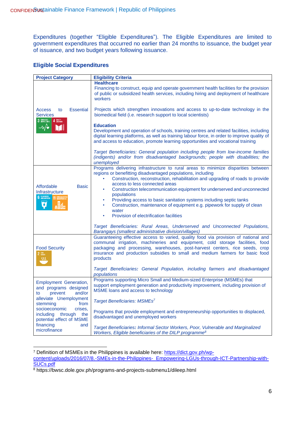Expenditures (together "Eligible Expenditures"). The Eligible Expenditures are limited to government expenditures that occurred no earlier than 24 months to issuance, the budget year of issuance, and two budget years following issuance.

#### **Eligible Social Expenditures**

| <b>Project Category</b>                                                                   | <b>Eligibility Criteria</b>                                                                                                                                                                                                                                                                                                                                     |
|-------------------------------------------------------------------------------------------|-----------------------------------------------------------------------------------------------------------------------------------------------------------------------------------------------------------------------------------------------------------------------------------------------------------------------------------------------------------------|
|                                                                                           | <b>Healthcare</b><br>Financing to construct, equip and operate government health facilities for the provision<br>of public or subsidized health services, including hiring and deployment of healthcare<br>workers                                                                                                                                              |
| <b>Essential</b><br><b>Access</b><br>to<br><b>Services</b><br>3 AND MELLISERIE 4 BUCATION | Projects which strengthen innovations and access to up-to-date technology in the<br>biomedical field (i.e. research support to local scientists)                                                                                                                                                                                                                |
| $-\sqrt{\bullet}$<br>ITI                                                                  | <b>Education</b><br>Development and operation of schools, training centres and related facilities, including<br>digital learning platforms, as well as training labour force, in order to improve quality of<br>and access to education, promote learning opportunities and vocational training                                                                 |
|                                                                                           | Target Beneficiaries: General population including people from low-income families<br>(indigents) and/or from disadvantaged backgrounds; people with disabilities; the<br>unemployed                                                                                                                                                                            |
| Affordable<br><b>Basic</b><br>Infrastructure                                              | Programs delivering infrastructure to rural areas to minimize disparities between<br>regions or benefitting disadvantaged populations, including<br>Construction, reconstruction, rehabilitation and upgrading of roads to provide<br>access to less connected areas<br>Construction telecommunication equipment for underserved and unconnected<br>populations |
| 6 CLEAN WATER<br>11 SUSTAI<br>Ø                                                           | Providing access to basic sanitation systems including septic tanks<br>Construction, maintenance of equipment e.g. pipework for supply of clean<br>۰<br>water<br>Provision of electrification facilities<br>۰                                                                                                                                                   |
|                                                                                           | Target Beneficiaries: Rural Areas, Underserved and Unconnected Populations,<br>Barangays (smallest administrative division/villages)                                                                                                                                                                                                                            |
| <b>Food Security</b><br>$2 \frac{\text{RRO}}{\text{HUMER}}$<br>38                         | Guaranteeing effective access to varied, quality food via provision of national and<br>communal irrigation, machineries and equipment, cold storage facilities, food<br>packaging and processing, warehouses, post-harvest centers, rice seeds, crop<br>insurance and production subsidies to small and medium farmers for basic food<br>products               |
|                                                                                           | Target Beneficiaries: General Population, including farmers and disadvantaged<br>populations                                                                                                                                                                                                                                                                    |
| <b>Employment Generation,</b><br>and programs designed<br>and/or<br>prevent<br>to         | Programs supporting Micro Small and Medium-sized Enterprise (MSMEs) that<br>support employment generation and productivity improvement, including provision of<br>MSME loans and access to technology                                                                                                                                                           |
| alleviate Unemployment<br>from<br>stemming                                                | Target Beneficiaries: MSMEs <sup>7</sup>                                                                                                                                                                                                                                                                                                                        |
| socioeconomic<br>crises.<br>including<br>through<br>the<br>potential effect of MSME       | Programs that provide employment and entrepreneurship opportunities to displaced,<br>disadvantaged and unemployed workers                                                                                                                                                                                                                                       |
| financing<br>and<br>microfinance                                                          | Target Beneficiaries: Informal Sector Workers, Poor, Vulnerable and Marginalized<br>Workers, Eligible beneficiaries of the DILP programme <sup>8</sup>                                                                                                                                                                                                          |

<sup>&</sup>lt;sup>7</sup> Definition of MSMEs in the Philippines is available here: [https://dict.gov.ph/wp-](https://dict.gov.ph/wp-content/uploads/2016/07/8.-SMEs-in-the-Philippines-_Empowering-LGUs-through-ICT-Partnership-with-SUCs.pdf)

[content/uploads/2016/07/8.-SMEs-in-the-Philippines-\\_Empowering-LGUs-through-ICT-Partnership-with-](https://dict.gov.ph/wp-content/uploads/2016/07/8.-SMEs-in-the-Philippines-_Empowering-LGUs-through-ICT-Partnership-with-SUCs.pdf)[SUCs.pdf](https://dict.gov.ph/wp-content/uploads/2016/07/8.-SMEs-in-the-Philippines-_Empowering-LGUs-through-ICT-Partnership-with-SUCs.pdf)

<sup>8</sup> https://bwsc.dole.gov.ph/programs-and-projects-submenu1/dileep.html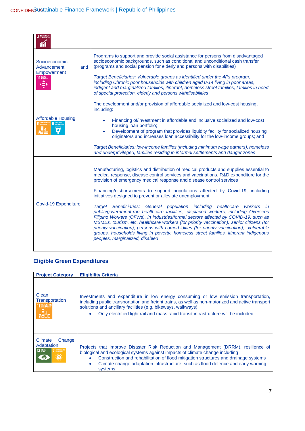| 8 DECENT WORK AND                                                            |                                                                                                                                                                                                                                                                                                                                                                                                                                                                                                                                                                                                                                                                                                                                                                                                                                                                                                                                                                                       |
|------------------------------------------------------------------------------|---------------------------------------------------------------------------------------------------------------------------------------------------------------------------------------------------------------------------------------------------------------------------------------------------------------------------------------------------------------------------------------------------------------------------------------------------------------------------------------------------------------------------------------------------------------------------------------------------------------------------------------------------------------------------------------------------------------------------------------------------------------------------------------------------------------------------------------------------------------------------------------------------------------------------------------------------------------------------------------|
| Socioeconomic<br>Advancement<br>and<br><b>Empowerment</b><br>10 REDUCED<br>Œ | Programs to support and provide social assistance for persons from disadvantaged<br>socioeconomic backgrounds, such as conditional and unconditional cash transfer<br>(programs and social pension for elderly and persons with disabilities)<br>Target Beneficiaries: Vulnerable groups as identified under the 4Ps program,<br>including Chronic poor households with children aged 0-14 living in poor areas,<br>indigent and marginalized families, itinerant, homeless street families, families in need<br>of special protection, elderly and persons withdisabilities                                                                                                                                                                                                                                                                                                                                                                                                          |
| <b>Affordable Housing</b><br>11 SUSTEINER ECOTTES 6 CLEAN WATER              | The development and/or provision of affordable socialized and low-cost housing.<br>including:<br>Financing of/investment in affordable and inclusive socialized and low-cost<br>housing loan portfolio;<br>Development of program that provides liquidity facility for socialized housing<br>$\bullet$<br>originators and increases loan accessibility for the low-income groups; and<br>Target Beneficiaries: low-income families (including minimum wage earners), homeless<br>and underprivileged, families residing in informal settlements and danger zones                                                                                                                                                                                                                                                                                                                                                                                                                      |
| <b>Covid-19 Expenditure</b>                                                  | Manufacturing, logistics and distribution of medical products and supplies essential to<br>medical response, disease control services and vaccinations, R&D expenditure for the<br>provision of emergency medical response and disease control services<br>Financing/disbursements to support populations affected by Covid-19, including<br>initiatives designed to prevent or alleviate unemployment<br>Target Beneficiaries: General population including healthcare<br>workers in<br>public/government-ran healthcare facilities, displaced workers, including Oversees<br>Filipino Workers (OFWs), in industries/formal sectors affected by COVID-19, such as<br>MSMEs, tourism, etc, healthcare workers (for priority vaccination), senior citizens (for<br>priority vaccination), persons with comorbidities (for priority vaccination), vulnerable<br>groups, households living in poverty, homeless street families, itinerant indigenous<br>peoples, marginalized, disabled |

## **Eligible Green Expenditures**

| <b>Project Category</b>                                                | <b>Eligibility Criteria</b>                                                                                                                                                                                                                                                                                                                                                  |
|------------------------------------------------------------------------|------------------------------------------------------------------------------------------------------------------------------------------------------------------------------------------------------------------------------------------------------------------------------------------------------------------------------------------------------------------------------|
| Clean<br>Transportation<br>11 SUSTAINABLE CITIES<br><b>Alla</b>        | Investments and expenditure in low energy consuming or low emission transportation,<br>including public transportation and freight trains, as well as non-motorized and active transport<br>solutions and ancillary facilities (e.g. bikeways, walkways)<br>Only electrified light rail and mass rapid transit infrastructure will be included<br>۰                          |
| Climate<br>Change<br>Adaptation<br><b>13 GLIMATE</b><br>AFFORDABLE AND | Projects that improve Disaster Risk Reduction and Management (DRRM), resilience of<br>biological and ecological systems against impacts of climate change including<br>Construction and rehabilitation of flood mitigation structures and drainage systems<br>$\bullet$<br>Climate change adaptation infrastructure, such as flood defence and early warning<br>۰<br>systems |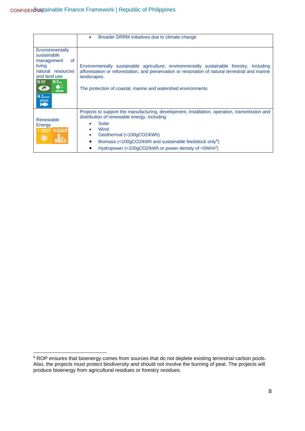|                                                                                                                                     | Broader DRRM initiatives due to climate change<br>$\bullet$                                                                                                                                                                                                                                                                              |
|-------------------------------------------------------------------------------------------------------------------------------------|------------------------------------------------------------------------------------------------------------------------------------------------------------------------------------------------------------------------------------------------------------------------------------------------------------------------------------------|
| Environmentally<br>sustainable<br>of<br>management<br>living<br>natural resources<br>and land use<br>13 GLIMATE<br>15 UFF AND<br>14 | Environmentally sustainable agriculture; environmentally sustainable forestry, including<br>afforestation or reforestation, and preservation or restoration of natural terrestrial and marine<br>landscapes.<br>The protection of coastal, marine and watershed environments                                                             |
| Renewable<br>Energy<br><b>11 SUSTAINABLE CITIES</b><br><b>7</b> AFFORDABLE AND                                                      | Projects to support the manufacturing, development, installation, operation, transmission and<br>distribution of renewable energy, including:<br>Solar<br>Wind<br>٠<br>Geothermal (<100gCO2/kWh)<br>٠<br>Biomass (<100gCO2/kWh and sustainable feedstock only <sup>9</sup> )<br>Hydropower (<100gCO2/kWh or power density of $>5W/m^2$ ) |

<sup>&</sup>lt;sup>9</sup> ROP ensures that bioenergy comes from sources that do not deplete existing terrestrial carbon pools. Also, the projects must protect biodiversity and should not involve the burning of peat. The projects will produce bioenergy from agricultural residues or forestry residues.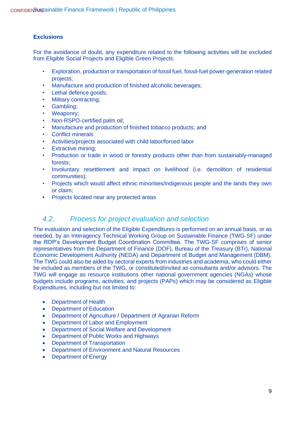#### **Exclusions**

For the avoidance of doubt, any expenditure related to the following activities will be excluded from Eligible Social Projects and Eligible Green Projects:

- Exploration, production or transportation of fossil fuel, fossil-fuel power-generation related projects;
- Manufacture and production of finished alcoholic beverages;
- Lethal defence goods;
- Military contracting;
- Gambling;
- Weaponry;
- Non-RSPO-certified palm oil;
- Manufacture and production of finished tobacco products; and
- Conflict minerals
- Activities/projects associated with child labor/forced labor
- **Extractive mining;**
- Production or trade in wood or forestry products other than from sustainably-managed forests;
- Involuntary resettlement and impact on livelihood (i.e. demolition of residential communities);
- Projects which would affect ethnic minorities/indigenous people and the lands they own or claim;
- Projects located near any protected areas

## <span id="page-9-0"></span>*4.2. Process for project evaluation and selection*

The evaluation and selection of the Eligible Expenditures is performed on an annual basis, or as needed, by an Interagency Technical Working Group on Sustainable Finance (TWG-SF) under the ROP's Development Budget Coordination Committee. The TWG-SF comprises of senior representatives from the Department of Finance (DOF), Bureau of the Treasury (BTr), National Economic Development Authority (NEDA) and Department of Budget and Management (DBM). The TWG could also be aided by sectoral experts from industries and academia, who could either be included as members of the TWG, or constituted/invited as consultants and/or advisors. The TWG will engage as resource institutions other national government agencies (NGAs) whose budgets include programs, activities, and projects (PAPs) which may be considered as Eligible Expenditures, including but not limited to:

- Department of Health
- **Department of Education**
- Department of Agriculture / Department of Agrarian Reform
- Department of Labor and Employment
- Department of Social Welfare and Development
- Department of Public Works and Highways
- Department of Transportation
- Department of Environment and Natural Resources
- Department of Energy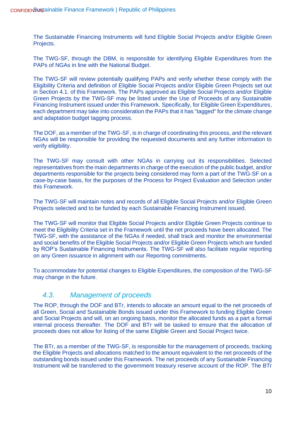The Sustainable Financing Instruments will fund Eligible Social Projects and/or Eligible Green Projects.

The TWG-SF, through the DBM, is responsible for identifying Eligible Expenditures from the PAPs of NGAs in line with the National Budget.

The TWG-SF will review potentially qualifying PAPs and verify whether these comply with the Eligibility Criteria and definition of Eligible Social Projects and/or Eligible Green Projects set out in Section 4.1. of this Framework. The PAPs approved as Eligible Social Projects and/or Eligible Green Projects by the TWG-SF may be listed under the Use of Proceeds of any Sustainable Financing Instrument issued under this Framework. Specifically, for Eligible Green Expenditures, each department may take into consideration the PAPs that it has "tagged" for the climate change and adaptation budget tagging process.

The DOF, as a member of the TWG-SF, is in charge of coordinating this process, and the relevant NGAs will be responsible for providing the requested documents and any further information to verify eligibility.

The TWG-SF may consult with other NGAs in carrying out its responsibilities. Selected representatives from the main departments in charge of the execution of the public budget, and/or departments responsible for the projects being considered may form a part of the TWG-SF on a case-by-case basis, for the purposes of the Process for Project Evaluation and Selection under this Framework.

The TWG-SF will maintain notes and records of all Eligible Social Projects and/or Eligible Green Projects selected and to be funded by each Sustainable Financing Instrument issued.

The TWG-SF will monitor that Eligible Social Projects and/or Eligible Green Projects continue to meet the Eligibility Criteria set in the Framework until the net proceeds have been allocated. The TWG-SF, with the assistance of the NGAs if needed, shall track and monitor the environmental and social benefits of the Eligible Social Projects and/or Eligible Green Projects which are funded by ROP's Sustainable Financing Instruments. The TWG-SF will also facilitate regular reporting on any Green issuance in alignment with our Reporting commitments.

To accommodate for potential changes to Eligible Expenditures, the composition of the TWG-SF may change in the future.

## <span id="page-10-0"></span>*4.3. Management of proceeds*

The ROP, through the DOF and BTr, intends to allocate an amount equal to the net proceeds of all Green, Social and Sustainable Bonds issued under this Framework to funding Eligible Green and Social Projects and will, on an ongoing basis, monitor the allocated funds as a part a formal internal process thereafter. The DOF and BTr will be tasked to ensure that the allocation of proceeds does not allow for listing of the same Eligible Green and Social Project twice.

The BTr, as a member of the TWG-SF, is responsible for the management of proceeds, tracking the Eligible Projects and allocations matched to the amount equivalent to the net proceeds of the outstanding bonds issued under this Framework. The net proceeds of any Sustainable Financing Instrument will be transferred to the government treasury reserve account of the ROP. The BTr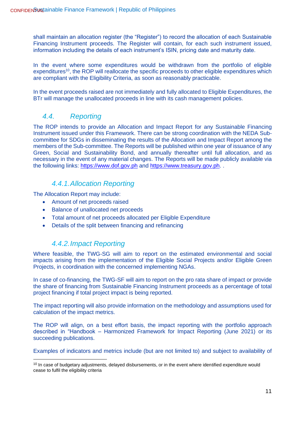shall maintain an allocation register (the "Register") to record the allocation of each Sustainable Financing Instrument proceeds. The Register will contain, for each such instrument issued, information including the details of each instrument's ISIN, pricing date and maturity date.

In the event where some expenditures would be withdrawn from the portfolio of eligible expenditures<sup>10</sup>, the ROP will reallocate the specific proceeds to other eligible expenditures which are compliant with the Eligibility Criteria, as soon as reasonably practicable.

In the event proceeds raised are not immediately and fully allocated to Eligible Expenditures, the BTr will manage the unallocated proceeds in line with its cash management policies.

## <span id="page-11-0"></span>*4.4. Reporting*

The ROP intends to provide an Allocation and Impact Report for any Sustainable Financing Instrument issued under this Framework. There can be strong coordination with the NEDA Subcommittee for SDGs in disseminating the results of the Allocation and Impact Report among the members of the Sub-committee. The Reports will be published within one year of issuance of any Green, Social and Sustainability Bond, and annually thereafter until full allocation, and as necessary in the event of any material changes. The Reports will be made publicly available via the following links: [https://www.dof.gov.ph](https://www.dof.gov.ph/) and [https://www.treasury.gov.ph.](https://www.treasury.gov.ph/) .

## *4.4.1.Allocation Reporting*

<span id="page-11-1"></span>The Allocation Report may include:

- Amount of net proceeds raised
- Balance of unallocated net proceeds
- Total amount of net proceeds allocated per Eligible Expenditure
- Details of the split between financing and refinancing

#### *4.4.2.Impact Reporting*

<span id="page-11-2"></span>Where feasible, the TWG-SG will aim to report on the estimated environmental and social impacts arising from the implementation of the Eligible Social Projects and/or Eligible Green Projects, in coordination with the concerned implementing NGAs.

In case of co-financing, the TWG-SF will aim to report on the pro rata share of impact or provide the share of financing from Sustainable Financing Instrument proceeds as a percentage of total project financing if total project impact is being reported.

The impact reporting will also provide information on the methodology and assumptions used for calculation of the impact metrics.

The ROP will align, on a best effort basis, the impact reporting with the portfolio approach described in "Handbook – Harmonized Framework for Impact Reporting (June 2021) or its succeeding publications.

Examples of indicators and metrics include (but are not limited to) and subject to availability of

<sup>&</sup>lt;sup>10</sup> In case of budgetary adjustments, delayed disbursements, or in the event where identified expenditure would cease to fulfil the eligibility criteria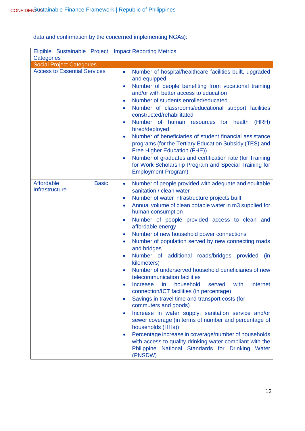| Eligible Sustainable Project<br>Categories   | <b>Impact Reporting Metrics</b>                                                                                                                                                                                                                                                                                                                                                                                                                                                                                                                                                                                                                                                                                                                                                                                                                                                                                                                                                                                                |
|----------------------------------------------|--------------------------------------------------------------------------------------------------------------------------------------------------------------------------------------------------------------------------------------------------------------------------------------------------------------------------------------------------------------------------------------------------------------------------------------------------------------------------------------------------------------------------------------------------------------------------------------------------------------------------------------------------------------------------------------------------------------------------------------------------------------------------------------------------------------------------------------------------------------------------------------------------------------------------------------------------------------------------------------------------------------------------------|
| <b>Social Project Categories</b>             |                                                                                                                                                                                                                                                                                                                                                                                                                                                                                                                                                                                                                                                                                                                                                                                                                                                                                                                                                                                                                                |
| <b>Access to Essential Services</b>          | Number of hospital/healthcare facilities built, upgraded<br>$\bullet$<br>and equipped<br>Number of people benefiting from vocational training<br>$\bullet$<br>and/or with better access to education<br>Number of students enrolled/educated<br>$\bullet$<br>Number of classrooms/educational support facilities<br>constructed/rehabilitated<br>Number of human resources for health (HRH)<br>$\bullet$<br>hired/deployed<br>Number of beneficiaries of student financial assistance<br>$\bullet$<br>programs (for the Tertiary Education Subsidy (TES) and<br>Free Higher Education (FHE))<br>Number of graduates and certification rate (for Training<br>$\bullet$<br>for Work Scholarship Program and Special Training for<br><b>Employment Program)</b>                                                                                                                                                                                                                                                                   |
| Affordable<br><b>Basic</b><br>Infrastructure | Number of people provided with adequate and equitable<br>$\bullet$<br>sanitation / clean water<br>Number of water infrastructure projects built<br>$\bullet$<br>Annual volume of clean potable water in m3 supplied for<br>$\bullet$<br>human consumption<br>Number of people provided access to clean and<br>$\bullet$<br>affordable energy<br>Number of new household power connections<br>$\bullet$<br>Number of population served by new connecting roads<br>$\bullet$<br>and bridges<br>Number of additional roads/bridges provided<br>(in<br>$\bullet$<br>kilometers)<br>Number of underserved household beneficiaries of new<br>telecommunication facilities<br>household<br>with<br>internet<br><b>Increase</b><br>served<br>in.<br>connection/ICT facilities (in percentage)<br>Savings in travel time and transport costs (for<br>$\bullet$<br>commuters and goods)<br>Increase in water supply, sanitation service and/or<br>$\bullet$<br>sewer coverage (in terms of number and percentage of<br>households (HHs)) |

data and confirmation by the concerned implementing NGAs):

• Percentage increase in coverage/number of households with access to quality drinking water compliant with the Philippine National Standards for Drinking Water (PNSDW)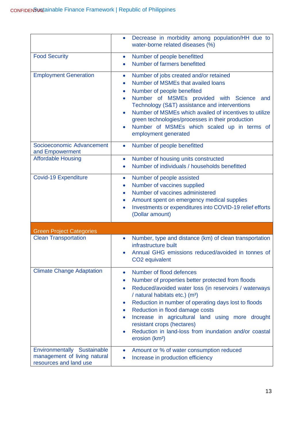|                                                                                       | Decrease in morbidity among population/HH due to<br>$\bullet$<br>water-borne related diseases (%)                                                                                                                                                                                                                                                                                                                                                                                                                                      |
|---------------------------------------------------------------------------------------|----------------------------------------------------------------------------------------------------------------------------------------------------------------------------------------------------------------------------------------------------------------------------------------------------------------------------------------------------------------------------------------------------------------------------------------------------------------------------------------------------------------------------------------|
| <b>Food Security</b>                                                                  | Number of people benefitted<br>$\bullet$<br>Number of farmers benefitted                                                                                                                                                                                                                                                                                                                                                                                                                                                               |
| <b>Employment Generation</b>                                                          | Number of jobs created and/or retained<br>$\bullet$<br>Number of MSMEs that availed loans<br>$\bullet$<br>Number of people benefited<br>$\bullet$<br>Number of MSMEs provided with<br><b>Science</b><br>and<br>$\bullet$<br>Technology (S&T) assistance and interventions<br>Number of MSMEs which availed of incentives to utilize<br>green technologies/processes in their production<br>Number of MSMEs which scaled up in terms of<br>$\bullet$<br>employment generated                                                            |
| Socioeconomic Advancement<br>and Empowerment                                          | Number of people benefitted<br>$\bullet$                                                                                                                                                                                                                                                                                                                                                                                                                                                                                               |
| <b>Affordable Housing</b>                                                             | Number of housing units constructed<br>$\bullet$<br>Number of individuals / households benefitted<br>$\bullet$                                                                                                                                                                                                                                                                                                                                                                                                                         |
| <b>Covid-19 Expenditure</b>                                                           | Number of people assisted<br>$\bullet$<br>Number of vaccines supplied<br>$\bullet$<br>Number of vaccines administered<br>$\bullet$<br>Amount spent on emergency medical supplies<br>$\bullet$<br>Investments or expenditures into COVID-19 relief efforts<br>$\bullet$<br>(Dollar amount)                                                                                                                                                                                                                                              |
| <b>Green Project Categories</b>                                                       |                                                                                                                                                                                                                                                                                                                                                                                                                                                                                                                                        |
| <b>Clean Transportation</b>                                                           | Number, type and distance (km) of clean transportation<br>infrastructure built<br>Annual GHG emissions reduced/avoided in tonnes of<br>CO <sub>2</sub> equivalent                                                                                                                                                                                                                                                                                                                                                                      |
| <b>Climate Change Adaptation</b>                                                      | Number of flood defences<br>Number of properties better protected from floods<br>$\bullet$<br>Reduced/avoided water loss (in reservoirs / waterways<br>$\bullet$<br>/ natural habitats etc.) (m <sup>3</sup> )<br>Reduction in number of operating days lost to floods<br>$\bullet$<br>Reduction in flood damage costs<br>$\bullet$<br>Increase in agricultural land using more drought<br>$\bullet$<br>resistant crops (hectares)<br>Reduction in land-loss from inundation and/or coastal<br>$\bullet$<br>erosion (km <sup>2</sup> ) |
| Environmentally Sustainable<br>management of living natural<br>resources and land use | Amount or % of water consumption reduced<br>$\bullet$<br>Increase in production efficiency                                                                                                                                                                                                                                                                                                                                                                                                                                             |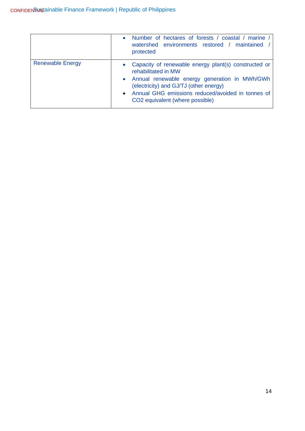|                         | Number of hectares of forests / coastal / marine /<br>$\bullet$<br>watershed environments restored / maintained<br>protected                                                                                                                                                                |
|-------------------------|---------------------------------------------------------------------------------------------------------------------------------------------------------------------------------------------------------------------------------------------------------------------------------------------|
| <b>Renewable Energy</b> | Capacity of renewable energy plant(s) constructed or<br>$\bullet$<br>rehabilitated in MW<br>• Annual renewable energy generation in MWh/GWh<br>(electricity) and GJ/TJ (other energy)<br>• Annual GHG emissions reduced/avoided in tonnes of<br>CO <sub>2</sub> equivalent (where possible) |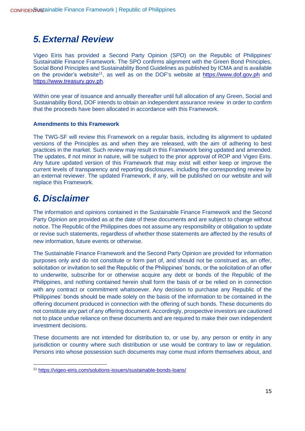# <span id="page-15-0"></span>*5. External Review*

Vigeo Eiris has provided a Second Party Opinion (SPO) on the Republic of Philippines' Sustainable Finance Framework. The SPO confirms alignment with the Green Bond Principles, Social Bond Principles and Sustainability Bond Guidelines as published by ICMA and is available on the provider's website<sup>11</sup>, as well as on the DOF's website at [https://www.dof.gov.ph](https://www.dof.gov.ph/) and [https://www.treasury.gov.ph.](https://www.treasury.gov.ph/)

Within one year of issuance and annually thereafter until full allocation of any Green, Social and Sustainability Bond, DOF intends to obtain an independent assurance review in order to confirm that the proceeds have been allocated in accordance with this Framework.

#### **Amendments to this Framework**

The TWG-SF will review this Framework on a regular basis, including its alignment to updated versions of the Principles as and when they are released, with the aim of adhering to best practices in the market. Such review may result in this Framework being updated and amended. The updates, if not minor in nature, will be subject to the prior approval of ROP and Vigeo Eiris. Any future updated version of this Framework that may exist will either keep or improve the current levels of transparency and reporting disclosures, including the corresponding review by an external reviewer. The updated Framework, if any, will be published on our website and will replace this Framework.

# <span id="page-15-1"></span>*6. Disclaimer*

The information and opinions contained in the Sustainable Finance Framework and the Second Party Opinion are provided as at the date of these documents and are subject to change without notice. The Republic of the Philippines does not assume any responsibility or obligation to update or revise such statements, regardless of whether those statements are affected by the results of new information, future events or otherwise.

The Sustainable Finance Framework and the Second Party Opinion are provided for information purposes only and do not constitute or form part of, and should not be construed as, an offer, solicitation or invitation to sell the Republic of the Philippines' bonds, or the solicitation of an offer to underwrite, subscribe for or otherwise acquire any debt or bonds of the Republic of the Philippines, and nothing contained herein shall form the basis of or be relied on in connection with any contract or commitment whatsoever. Any decision to purchase any Republic of the Philippines' bonds should be made solely on the basis of the information to be contained in the offering document produced in connection with the offering of such bonds. These documents do not constitute any part of any offering document. Accordingly, prospective investors are cautioned not to place undue reliance on these documents and are required to make their own independent investment decisions.

These documents are not intended for distribution to, or use by, any person or entity in any jurisdiction or country where such distribution or use would be contrary to law or regulation. Persons into whose possession such documents may come must inform themselves about, and

<sup>11</sup> <https://vigeo-eiris.com/solutions-issuers/sustainable-bonds-loans/>